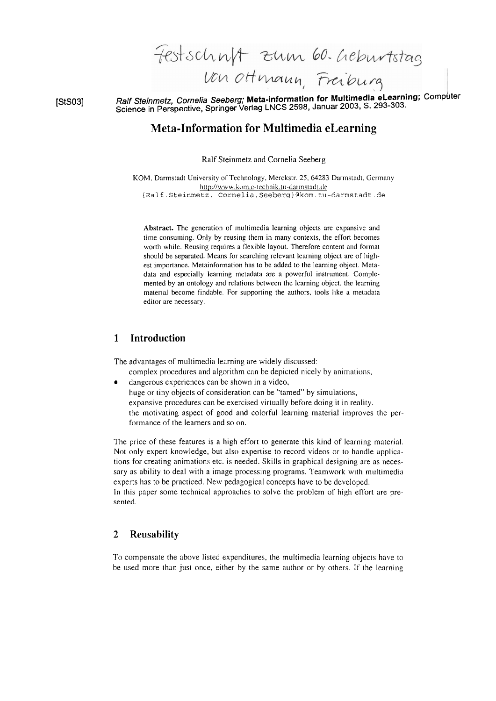Festschnift zum 60. Geburtstag von ottmann, Freiburg

[StS03] **Ralf Steinmetz, Comelia Seeberg; Metainformation for Multimedia elearning;** Computer Science in Perspective, Springer Verlag LNCS **2598,** Januar **2003, S. 293-303.** 

# **Meta-Information for Multimedia eLearning**

Ralf Steinmetz and Cornelia Seeberg

KOM. Darmstadt University of Technology, Merckstr. 25, 64283 Darmstadt, Germany http://www.kom.e-technik.tu-darmstadt.de {Ralf.Steinmetz, Cornelia.Seeberg)@kom.tu-darrnstadt.de

Abstract. The generation of multimedia learning objects are expansive and time consuming. Only by reusing them in many contexts, the effort becomes worth while. Reusing requires a flexible layout. Therefore content and forrnat should be separated. Means for searching relevant learning object are of highest importance. Metainformation has to be added to the learning object. Metadata and especially learning metadata are a powerful instrument. Complemented by an ontology and relations between the learning object. the learning material become findable. For supporting the authors. tools like a metadata editor are necessary.

# **1 Introduction**

The advantages of multimedia learning are widely discussed:

complex procedures and algorithm can be depicted nicely by animations,

dangerous experiences can be shown in a video, huge or tiny objects of consideration can be "tamed" by simulations, expansive procedures can be exercised virtually before doing it in reality. the motivating aspect of good and colorful learning material improves the perforrnance of the learners and so on.

The price of these features is a high effort to generate this kind of learning material. Not only expert knowledge, but also expertise to record videos or to handle applications for creating animations etc. is needed. Skills in graphical designing are as necessary as ability to deal with a image processing programs. Teamwork with multimedia experts has to be practiced. New pedagogical concepts have to be developed. In this paper some technical approaches to solve the problem of high effort are pre-

sented.

## **2 Reusability**

To compensate the above listed expenditures, the multimedia learning objects have to be used more than just once, either by the same author or by others. If the learning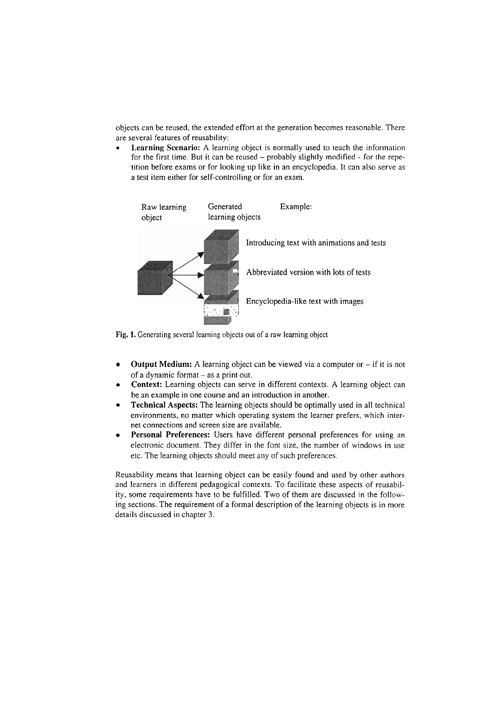objects can be reused, the extended effort at the generation becomes reasonable. There are several features of reusability:

**Learning Scenario: A** learning object is normally used to teach the inforrnation for the first time. But it can be reused – probably slightly modified - for the repetition before exams or for looking up like in an encyclopedia. It can also serve as a test item either for self-controlling or for an exam.



Fig. 1. Generating several learning objects out of a raw learning object

- **Output Medium:** A learning object can be viewed via a computer or if it is not  $\bullet$ of a dynamic format  $-$  as a print out.
- **Context:** Learning objects can serve in different contexts. A learning object can  $\bullet$ be an example in one Course and an introduction in another.
- **Technical Aspects:** The learning objects should be optimally used in all technical  $\bullet$ environments, no matter which operating system the learner prefers, which internet connections and screen size are available.
- $\bullet$ **Personal Preferences:** Users have different personal preferences for using an electronic document. They differ in the font size, the number of windows in use etc. The learning objects should meet any of such preferences.

Reusability means that learning object can be easily found and used by other authors and learners in different pedagogical contexts. To facilitate these aspects of reusability, some requirements have to be fulfilled. Two of them are discussed in the following sections. The requirement of a formal description of the learning objects is in more details discussed in chapter 3.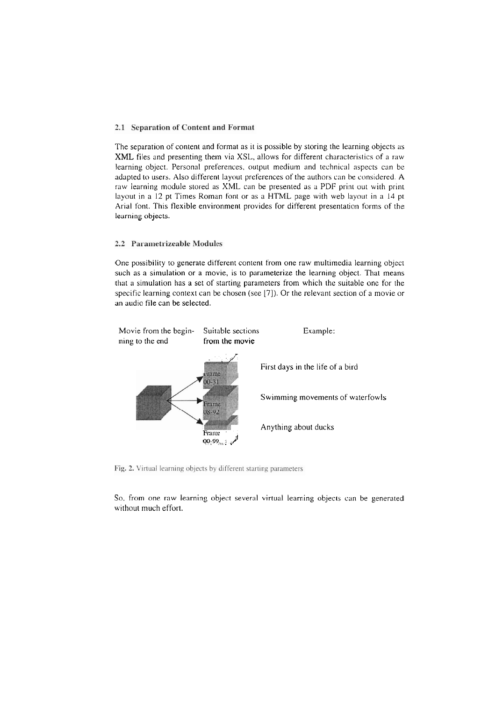#### 2.1 Separation of Content and Format

The separation of content and format as it is possible by storing the learning objects as XML files and presenting them via XSL, allows for different characteristics of a raw learning object. Personal preferences, output medium and technical aspects can be adapted to users. Also different layout preferences of the authors can be considered. A raw learning module stored as XML can be presented as a PDF print out with print layout in a 12 pt Times Roman font or as a HTML page with web layout in a 14 pt Arial font. This flexible environment provides for different presentation forms of the learning objects.

## 2.2 Parametrizeable Modules

One possibility to generate different content from one raw multimedia learning object such as a simulation or a movie, is to parameterize the learning object. That means that a simulation has a set of starting parameters from which the suitable one for the specific learning context can be chosen (see [7]). Or the relevant section of a movie or an audio file can be selected.



Fig. 2. Virtual learning objects by different starting parameters

So, from one raw learning object several virtual learning objects can be generated without much effort.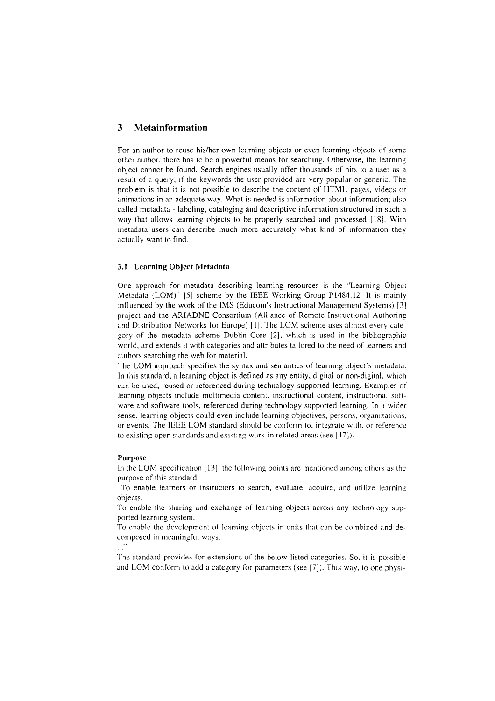#### $\mathbf{3}$ Metainformation

For an author to reuse his/her own learning objects or even learning objects of some other author, there has to be a powerful means for searching. Otherwise, the learning object cannot be found. Search engines usually offer thousands of hits to a user as a result of a query, if the keywords the user provided are very popular or generic. The problem is that it is not possible to describe the content of HTML pages, videos or animations in an adequate way. What is needed is information about information; also called metadata - labeling, cataloging and descriptive information structured in such a way that allows learning objects to be properly searched and processed [18]. With metadata users can describe much more accurately what kind of information they actually want to find.

### 3.1 Learning Object Metadata

One approach for metadata describing learning resources is the "Learning Object" Metadata (LOM)" [5] scheme by the IEEE Working Group P1484.12. It is mainly influenced by the work of the IMS (Educom's Instructional Management Systems) [3] project and the ARIADNE Consortium (Alliance of Remote Instructional Authoring and Distribution Networks for Europe) [1]. The LOM scheme uses almost every category of the metadata scheme Dublin Core [2], which is used in the bibliographic world, and extends it with categories and attributes tailored to the need of learners and authors searching the web for material.

The LOM approach specifies the syntax and semantics of learning object's metadata. In this standard, a learning object is defined as any entity, digital or non-digital, which can be used, reused or referenced during technology-supported learning. Examples of learning objects include multimedia content, instructional content, instructional software and software tools, referenced during technology supported learning. In a wider sense, learning objects could even include learning objectives, persons, organizations, or events. The IEEE LOM standard should be conform to, integrate with, or reference to existing open standards and existing work in related areas (see [17]).

#### Purpose

In the LOM specification [13], the following points are mentioned among others as the purpose of this standard:

"To enable learners or instructors to search, evaluate, acquire, and utilize learning objects.

To enable the sharing and exchange of learning objects across any technology supported learning system.

To enable the development of learning objects in units that can be combined and decomposed in meaningful ways.

 $\mathbb{R}^n$ 

The standard provides for extensions of the below listed categories. So, it is possible and LOM conform to add a category for parameters (see [7]). This way, to one physi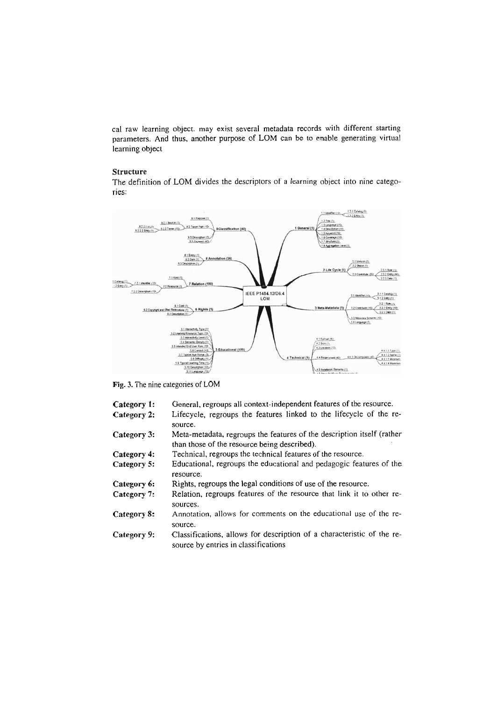cal raw learning object. may exist several metadata records with different starting parameters. And thus, another purpose of LOM can be to enable generating virtual learning object

#### **Structure**

The definition of LOM divides the descriptors of a learning object into nine categories:



**Fig. 3.** The nine categories of LOM

- **Category 2:**  Lifecycle, regroups the features linked to the lifecycle of the resource.
- **Category 3:**  Meta-metadata, regroups the features of the description itself (rather than those of the resource being described).
- **Category 4:**  Technical, regroups the technical features of the resource.
- **Category 5:**  Educational, regroups the educational and pedagogic features of the resource.
- **Category 6:**  Rights, regroups the legal conditions of use of the resource.
- **Category 7:**  Relation, regroups features of the resource that link it to other resources.
- **Category 8:**  Annotation, allows for comments on the educational use of the resource.
- **Category 9:**  Classifications, allows for description of a characteristic of the resource by entries in classifications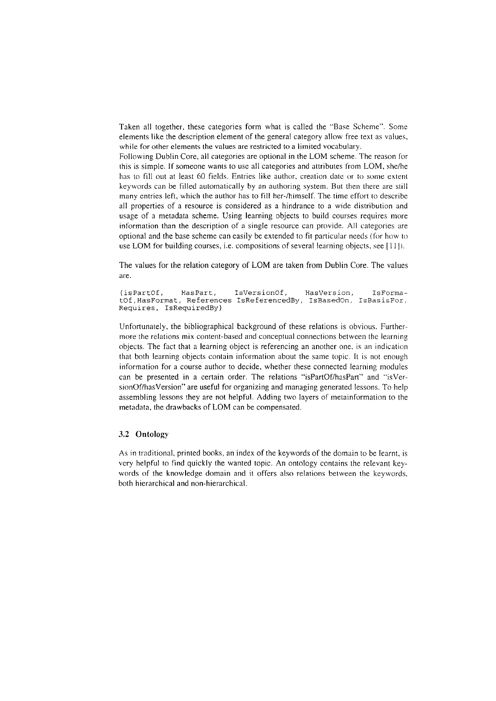Taken all together, these categories form what is called the "Base Scheme". Some elements like the description elernent of the general category allow free text as values, while for other elements the values are restricted to a limited vocabulary.

Following Dublin Core, all categories are optional in the LOM scheme. The reason for this is simple. If someone wants to use all categories and attributes from LOM, she/he has to fill out at least 60 fields. Entries like author, creation date or to some extent keywords can be filled automatically by an authoring system. But then there are still many entries left, which the author has to fill her-Jhimself. The time effort to describe aII properties of a resource is considered as a hindrance to a wide distribution and usage of a metadata scheme. Using learning objects to build courses requires inore information than the description of a single resource can provide. All categories are optional and the base scheme can easily be extended to fit particular needs (for how to use LOM for building courses, i.e. compositions of several lenrning objects. see [I I]).

The values for the relation category of LOM are taken from Dublin Core. The values are.

{isPartOf, HasPart, IsVersionOf, HasVersion, IsFormatOf,HasFormat, References IsReferencedBy, IsBasedOn, IsBasisFor, Requires, IsRequiredBy}

Unfortunately, the bibliographical background of these relations is obvious. Furthermore the relations mix content-based and conceptual connections between the learning objects. The fact that a learning object is referencing an another one, is an indication that both learning objects contain information about the same topic. It is not enough information for a course author to decide, whether these connected learning modules can be presented in a certain order. The relations "isPartOf/hasPart" and "isVersionOf/hasVersion" are useful for organizing and managing generated lessons. To help assembling lessons they are not helpful. Adding two Iayers of inetainforrnation to the metadata, the drawbacks of LOM can be compensated.

### **3.2 Ontology**

As in traditional, printed books, an index of the keywords of the domain to be learnt, is very helpful to find quickly the wanted topic. An ontology contains the relevant keywords of the knowledge domain and it offers also relations between the keywords. both hierarchical and non-hierarchical.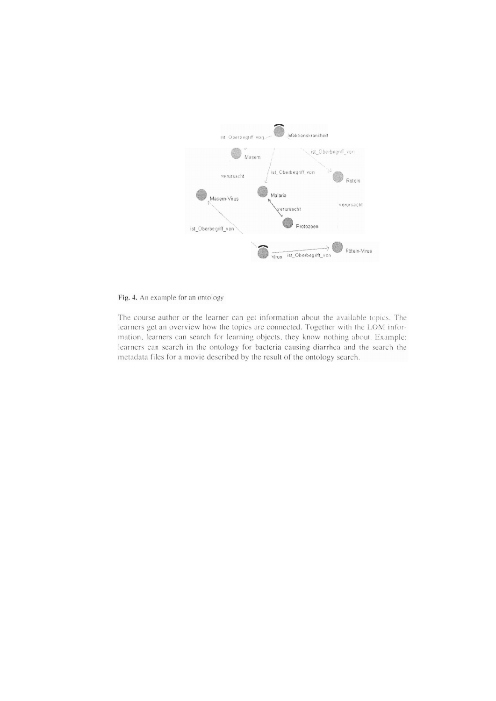

### Fig. 4. An example for an ontology

The course author or the learner can get information about the available topics. The learners get an overview how the topics are connected. Together with the LOM information, learners can search for learning objects, they know nothing about. Example: learners can search in the ontology for bacteria causing diarrhea and the search the metadata files for a movie described by the result of the ontology search.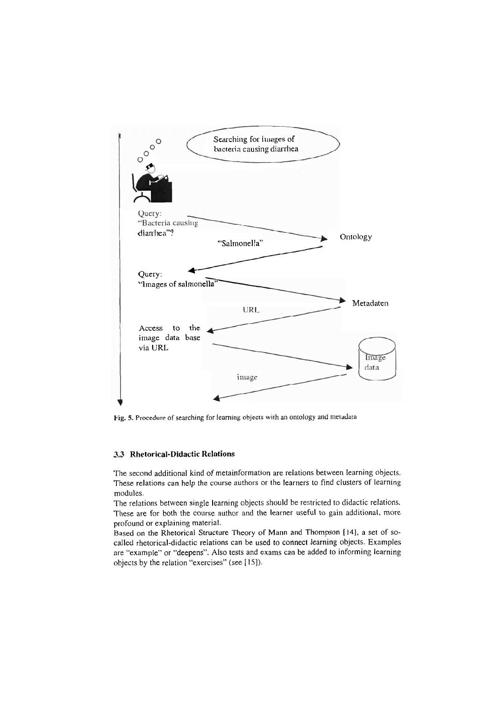

Fig. 5. Procedure of searching for learning objects with an ontology and metadata

## **3.3 Rhetorical-Didactic Relations**

The second additional kind of metainformation are relations between learning objects. These relations can help the course authors or the learners to find clusters of learning modules.

The relations between single learning objects should be restricted to didactic relations. These are for both the course author and the learner useful to gain additional, more profound or explaining material.

Based on the Rhetorical Structure Theory of Mann and Thornpson [14], a set of socalled rhetorical-didactic relations can be used to connect learning objects. Examples are "example" or "deepens". Also tests and exams can be added to inforrning learning objects by the relation "exercises" (see [15]).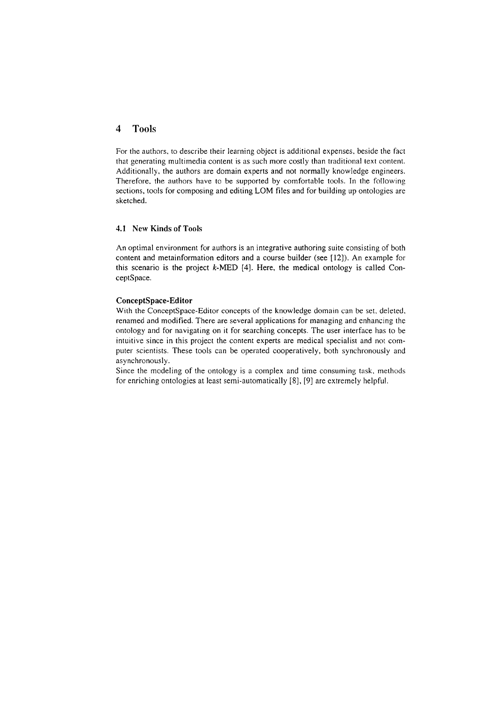## **4 Tools**

For the authors. to describe their learning object is additional expenses, beside the fact that generating multimedia content is as such more costly than traditional text content. Additionally, the authors are domain experts and not norrnally knowledge engineers. Therefore. the authors have to be supported by comfortable tools. In the following sections, tools for composing and editing LOM files and for building up ontologies are sketched.

#### **4.1 New Kinds of Tools**

An optimal environment for authors is an integrative authoring suite consisting of both content and metainforrnation editors and a Course builder (see [12]). An exarnple for this scenario is the project k-MED **[4].** Here, the medical ontology is called ConceptSpace.

#### **ConceptSpace-Editor**

With the ConceptSpace-Editor concepts of the knowledge domain can be set, deleted, renamed and modified. There are several applications for rnanaging and enhancing the ontology and for navigating on it for searching concepts. The User interface has to be intuitive since in this project the content experts are rnedical specialist and not computer scientists. These tools can be operated cooperatively, both synchronously and asynchronously.

Since the modeling of the ontology is a complex and time consuming task, methods for enriching ontologies at least semi-automatically **[8],** [9] are extrernely helpful.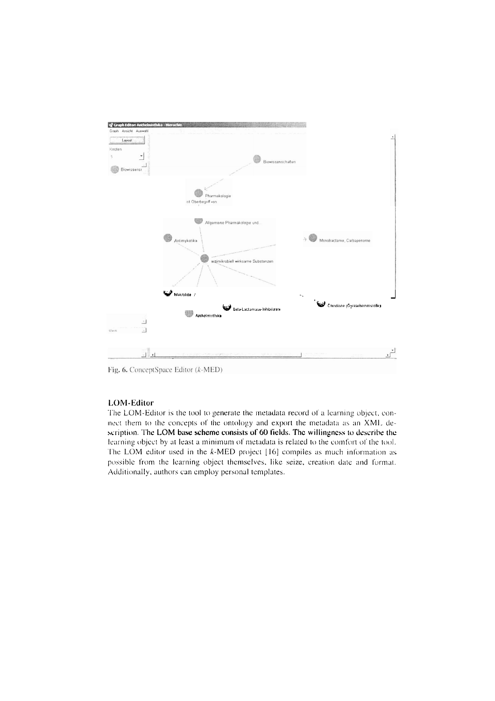

Fig. 6. ConceptSpace Editor (k-MED)

## LOM-Editor

The LOM-Editor is the tool to generate the metadata record of a learning object, connect them to the concepts of the ontology and export the metadata as an XML description. The LOM base scheme consists of 60 fields. The willingness to describe the learning object by at least a minimum of metadata is related to the comfort of the tool. The LOM editor used in the  $k$ -MED project  $[16]$  compiles as much information as possible from the learning object themselves, like seize, creation date and format. Additionally, authors can employ personal templates.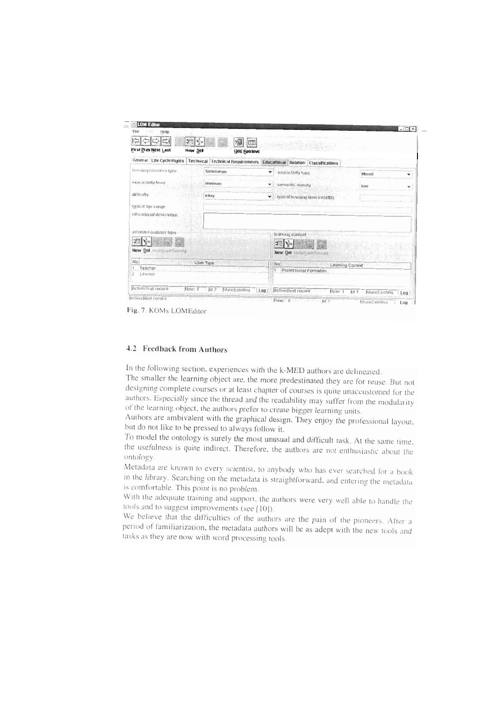| Editor<br>File<br>Help<br>场<br>First Prev Next Last<br>New Del | $\left\lceil \frac{q}{2} \right\rceil \times \mathbb{R}$<br>29<br>団<br>Viz-<br><b>SYMS</b><br><b>QBE Retrieve</b> |   |                                                                     |                | $-10x$ |
|----------------------------------------------------------------|-------------------------------------------------------------------------------------------------------------------|---|---------------------------------------------------------------------|----------------|--------|
| General Life Cycle/Rights                                      | Technical Technical Requirements                                                                                  |   | Educational Relation Classifications                                |                |        |
| learning resource type                                         | Simulation                                                                                                        |   | Interactivity type                                                  | Mixed          |        |
| interactivity level                                            | medium                                                                                                            | ▼ | semantic density                                                    | low            | ٠      |
| difficulty                                                     | easy                                                                                                              |   | typical learning time (HH:MM)                                       |                |        |
| typical age ratige<br>educational description                  |                                                                                                                   |   |                                                                     |                |        |
| intenden enduser type<br>New Del<br><b>UndoSoun Savaha</b>     |                                                                                                                   |   | learning context<br>⊅ৰ<br>New Del UndoStan Schools                  |                |        |
| No.<br>User Type<br>Teacher<br>Learner                         |                                                                                                                   |   | No.<br>Learning Context<br>$\overline{1}$<br>Professional Formation |                |        |
| Action:First record<br>Plow: 1<br>of 2 State:Existing<br>Lon   |                                                                                                                   |   | Action:First record<br>Row: 1<br>of 1 State:Existing Log            |                |        |
| Action:Next record                                             | 14                                                                                                                |   | Row: $6 \rightarrow \pi$   $6$ ?                                    | State:Existing | Log    |

Fig. 7. KOMs LOMEditor

## 4.2 Feedback from Authors

In the following section, experiences with the k-MED authors are delineated.

The smaller the learning object are, the more predestinated they are for reuse. But not designing complete courses or at least chapter of courses is quite unaccustomed for the authors. Especially since the thread and the readability may suffer from the modularity of the learning object, the authors prefer to create bigger learning units.

Authors are ambivalent with the graphical design. They enjoy the professional layout, but do not like to be pressed to always follow it.

To model the ontology is surely the most unusual and difficult task. At the same time, the usefulness is quite indirect. Therefore, the authors are not enthusiastic about the ontology.

Metadata are known to every scientist, to anybody who has ever searched for a book in the library. Searching on the metadata is straightforward, and entering the metadata is comfortable. This point is no problem.

With the adequate training and support, the authors were very well able to handle the tools and to suggest improvements (see [10]).

We believe that the difficulties of the authors are the pain of the pioneers. After a period of familiarization, the metadata authors will be as adept with the new tools and tasks as they are now with word processing tools.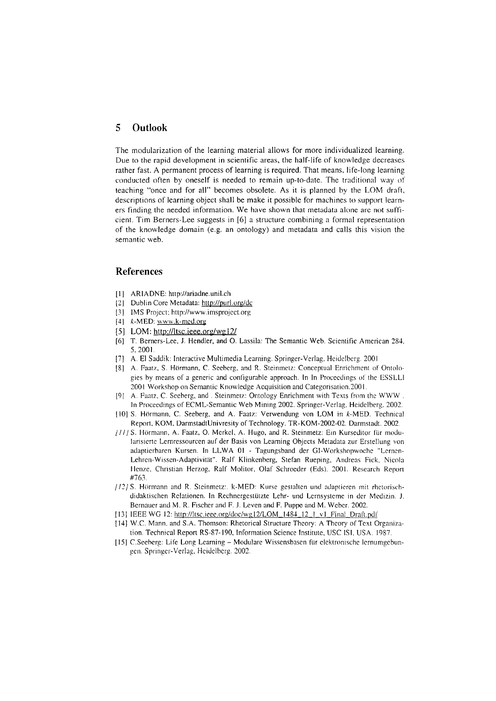#### 5 Outlook

The modularization of the learning material allows for more individualized learning. Due to the rapid development in scientific areas, the half-life of knowledge decreases rather fast. A permanent process of learning is required. That means, life-long learning conducted often by oneself is needed to remain up-to-date. The traditional way of teaching "once and for all" becomes obsolete. As it is planned by the LOM draft, descriptions of learning object shall be make it possible for machines to support learners finding the needed information. We have shown that metadata alone are not sufficient. Tim Berners-Lee suggests in [6] a structure combining a formal representation of the knowledge domain (e.g. an ontology) and metadata and calls this vision the semantic web.

## **References**

- [1] ARIADNE: http://ariadne.unil.ch
- [2] Dublin Core Metadata: http://purl.org/dc
- [3] IMS Project; http://www.imsproject.org
- $[4]$  k-MED: www.k-med.org
- [5] LOM: http://ltsc.ieee.org/wg12/
- [6] T. Berners-Lee, J. Hendler, and O. Lassila: The Semantic Web. Scientific American 284, 5.2001.
- [7] A. El Saddik: Interactive Multimedia Learning. Springer-Verlag, Heidelberg. 2001
- [8] A. Faatz, S. Hörmann, C. Seeberg, and R. Steinmetz: Conceptual Enrichment of Ontologies by means of a generic and configurable approach. In In Proceedings of the ESSLLI 2001 Workshop on Semantic Knowledge Acquisition and Categorisation.2001.
- [9] A. Faatz, C. Seeberg, and . Steinmetz: Ontology Enrichment with Texts from the WWW In Proceedings of ECML-Semantic Web Mining 2002. Springer-Verlag, Heidelberg. 2002.
- [10] S. Hörmann, C. Seeberg, and A. Faatz: Verwendung von LOM in k-MED. Technical Report, KOM, DarmstadtUnivresity of Technology. TR-KOM-2002-02. Darmstadt. 2002.
- [11] S. Hörmann, A. Faatz, O. Merkel, A. Hugo, and R. Steinmetz: Ein Kurseditor für modularisierte Lernressourcen auf der Basis von Learning Objects Metadata zur Erstellung von adaptierbaren Kursen. In LLWA 01 - Tagungsband der GI-Workshopwoche "Lernen-Lehren-Wissen-Adaptivität". Ralf Klinkenberg, Stefan Rueping, Andreas Fick, Nicola Henze, Christian Herzog, Ralf Molitor, Olaf Schroeder (Eds), 2001. Research Report #763.
- //2/ S. Hörmann and R. Steinmetz: k-MED: Kurse gestalten und adaptieren mit rhetorischdidaktischen Relationen. In Rechnergestützte Lehr- und Lernsysteme in der Medizin. J. Bernauer and M, R. Fischer and F. J. Leven and F. Puppe and M. Weber, 2002.
- [13] IEEE WG 12: http://ltsc.icee.org/doc/wg12/LOM\_1484\_12\_1\_v1\_Final\_Draft.pdf
- [14] W.C. Mann, and S.A. Thomson: Rhetorical Structure Theory: A Theory of Text Organization. Technical Report RS-87-190, Information Science Institute, USC ISI, USA. 1987.
- [15] C.Seeberg: Life Long Learning Modulare Wissensbasen für elektronische lernumgebungen. Springer-Verlag, Heidelberg. 2002.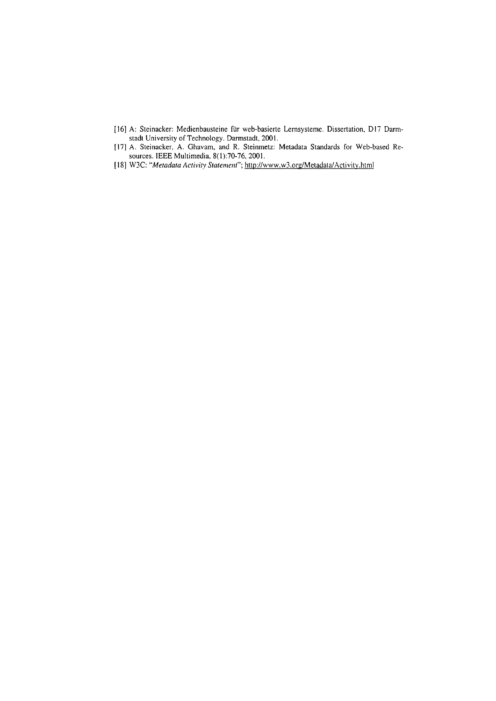- [I61 A: Steinacker: Medienbausteine für web-basierte Lernsysteme. Dissertation, D17 Darmstadt University of Technology. Darmstadt, 2001.
- [I71 A. Steinacker, A. Ghavarn. and R. Steinmetz: Metadata Standards for Web-based Resources. IEEE Multimedia. 8(1):70-76, 2001.
- [18] W3C: "Metadata Activity Statement"; http://www.w3.org/Metadata/Activity.html